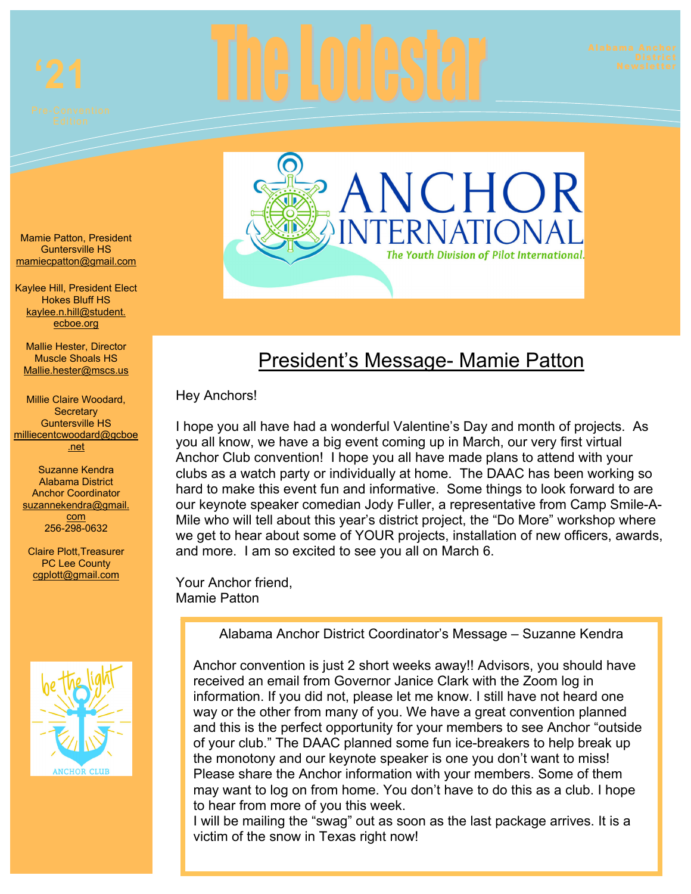



# President's Message- Mamie Patton

Hey Anchors!

I hope you all have had a wonderful Valentine's Day and month of projects. As you all know, we have a big event coming up in March, our very first virtual Anchor Club convention! I hope you all have made plans to attend with your clubs as a watch party or individually at home. The DAAC has been working so hard to make this event fun and informative. Some things to look forward to are our keynote speaker comedian Jody Fuller, a representative from Camp Smile-A-Mile who will tell about this year's district project, the "Do More" workshop where we get to hear about some of YOUR projects, installation of new officers, awards, and more. I am so excited to see you all on March 6.

Your Anchor friend, Mamie Patton

Alabama Anchor District Coordinator's Message – Suzanne Kendra

Anchor convention is just 2 short weeks away!! Advisors, you should have received an email from Governor Janice Clark with the Zoom log in information. If you did not, please let me know. I still have not heard one way or the other from many of you. We have a great convention planned and this is the perfect opportunity for your members to see Anchor "outside of your club." The DAAC planned some fun ice-breakers to help break up the monotony and our keynote speaker is one you don't want to miss! Please share the Anchor information with your members. Some of them may want to log on from home. You don't have to do this as a club. I hope to hear from more of you this week.

I will be mailing the "swag" out as soon as the last package arrives. It is a victim of the snow in Texas right now!

Mamie Patton, President Guntersville HS mamiecpatton@gmail.com

Kaylee Hill, President Elect Hokes Bluff HS kaylee.n.hill@student. ecboe.org

 Mallie.hester@mscs.us Mallie Hester, Director Muscle Shoals HS

 Millie Claire Woodard, **Secretary** Guntersville HS milliecentcwoodard@gcboe .net

Suzanne Kendra Alabama District Anchor Coordinator suzannekendra@gmail. com 256-298-0632

cgplott@gmail.com Claire Plott,Treasurer PC Lee County

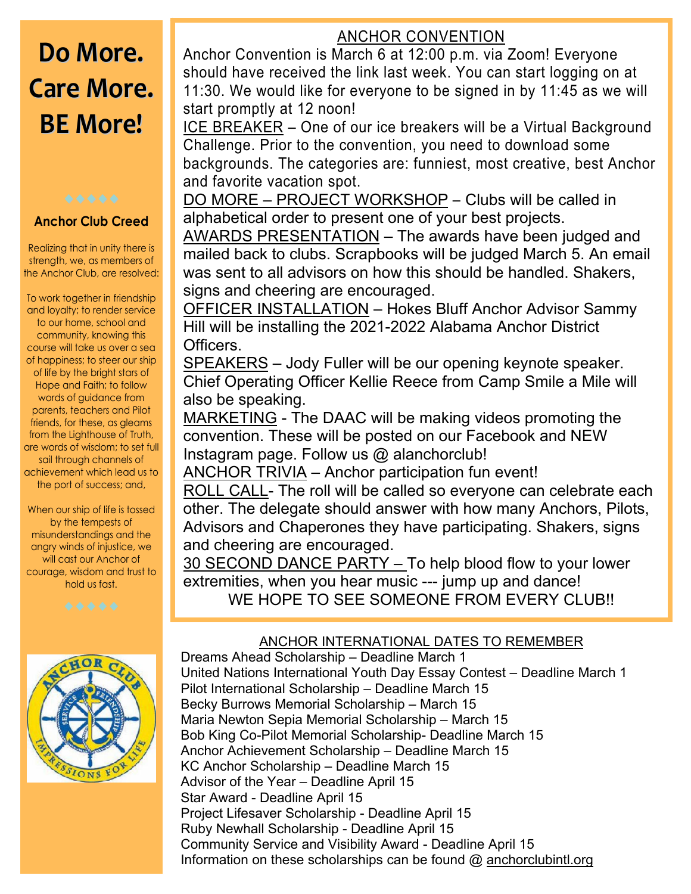# **Do More. Care More. BE More!**

#### **Anchor Club Creed**

 Realizing that in unity there is strength, we, as members of the Anchor Club, are resolved:

 and loyalty; to render service friends, for these, as gleams achievement which lead us to To work together in friendship to our home, school and community, knowing this course will take us over a sea of happiness; to steer our ship of life by the bright stars of Hope and Faith; to follow words of guidance from parents, teachers and Pilot from the Lighthouse of Truth, are words of wisdom; to set full sail through channels of the port of success; and,

misunderstandings and the will cast our Anchor of When our ship of life is tossed by the tempests of angry winds of injustice, we courage, wisdom and trust to hold us fast.



## ANCHOR CONVENTION

Anchor Convention is March 6 at 12:00 p.m. via Zoom! Everyone should have received the link last week. You can start logging on at 11:30. We would like for everyone to be signed in by 11:45 as we will start promptly at 12 noon!

ICE BREAKER – One of our ice breakers will be a Virtual Background Challenge. Prior to the convention, you need to download some backgrounds. The categories are: funniest, most creative, best Anchor and favorite vacation spot.

DO MORE – PROJECT WORKSHOP – Clubs will be called in alphabetical order to present one of your best projects.

AWARDS PRESENTATION – The awards have been judged and mailed back to clubs. Scrapbooks will be judged March 5. An email was sent to all advisors on how this should be handled. Shakers, signs and cheering are encouraged.

OFFICER INSTALLATION – Hokes Bluff Anchor Advisor Sammy Hill will be installing the 2021-2022 Alabama Anchor District Officers.

SPEAKERS – Jody Fuller will be our opening keynote speaker. Chief Operating Officer Kellie Reece from Camp Smile a Mile will also be speaking.

MARKETING - The DAAC will be making videos promoting the convention. These will be posted on our Facebook and NEW Instagram page. Follow us @ alanchorclub!

ANCHOR TRIVIA – Anchor participation fun event!

ROLL CALL- The roll will be called so everyone can celebrate each other. The delegate should answer with how many Anchors, Pilots, Advisors and Chaperones they have participating. Shakers, signs and cheering are encouraged.

30 SECOND DANCE PARTY – To help blood flow to your lower extremities, when you hear music --- jump up and dance! WE HOPE TO SEE SOMEONE FROM EVERY CLUB!!

### ANCHOR INTERNATIONAL DATES TO REMEMBER



Dreams Ahead Scholarship – Deadline March 1 United Nations International Youth Day Essay Contest – Deadline March 1 Pilot International Scholarship – Deadline March 15 Becky Burrows Memorial Scholarship – March 15 Maria Newton Sepia Memorial Scholarship – March 15 Bob King Co-Pilot Memorial Scholarship- Deadline March 15 Anchor Achievement Scholarship – Deadline March 15 KC Anchor Scholarship – Deadline March 15 Advisor of the Year – Deadline April 15 Star Award - Deadline April 15 Project Lifesaver Scholarship - Deadline April 15 Ruby Newhall Scholarship - Deadline April 15 Community Service and Visibility Award - Deadline April 15 Information on these scholarships can be found @ anchorclubintl.org